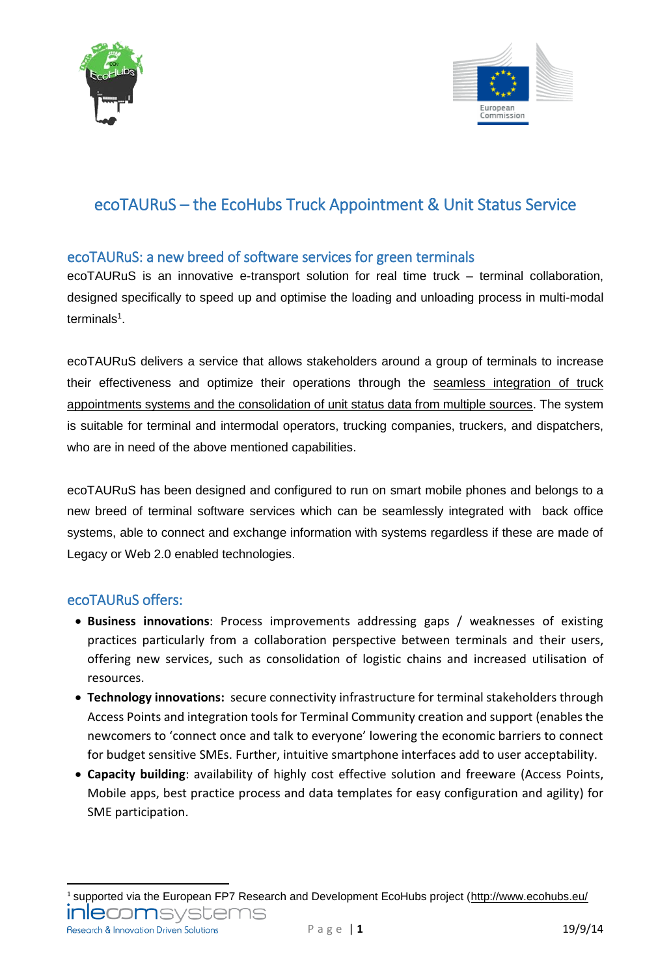



# ecoTAURuS – the EcoHubs Truck Appointment & Unit Status Service

# ecoTAURuS: a new breed of software services for green terminals

ecoTAURuS is an innovative e-transport solution for real time truck – terminal collaboration, designed specifically to speed up and optimise the loading and unloading process in multi-modal terminals<sup>1</sup>.

ecoTAURuS delivers a service that allows stakeholders around a group of terminals to increase their effectiveness and optimize their operations through the seamless integration of truck appointments systems and the consolidation of unit status data from multiple sources. The system is suitable for terminal and intermodal operators, trucking companies, truckers, and dispatchers, who are in need of the above mentioned capabilities.

ecoTAURuS has been designed and configured to run on smart mobile phones and belongs to a new breed of terminal software services which can be seamlessly integrated with back office systems, able to connect and exchange information with systems regardless if these are made of Legacy or Web 2.0 enabled technologies.

## ecoTAURuS offers:

- **Business innovations**: Process improvements addressing gaps / weaknesses of existing practices particularly from a collaboration perspective between terminals and their users, offering new services, such as consolidation of logistic chains and increased utilisation of resources.
- **Technology innovations:** secure connectivity infrastructure for terminal stakeholders through Access Points and integration tools for Terminal Community creation and support (enables the newcomers to 'connect once and talk to everyone' lowering the economic barriers to connect for budget sensitive SMEs. Further, intuitive smartphone interfaces add to user acceptability.
- **Capacity building**: availability of highly cost effective solution and freeware (Access Points, Mobile apps, best practice process and data templates for easy configuration and agility) for SME participation.

1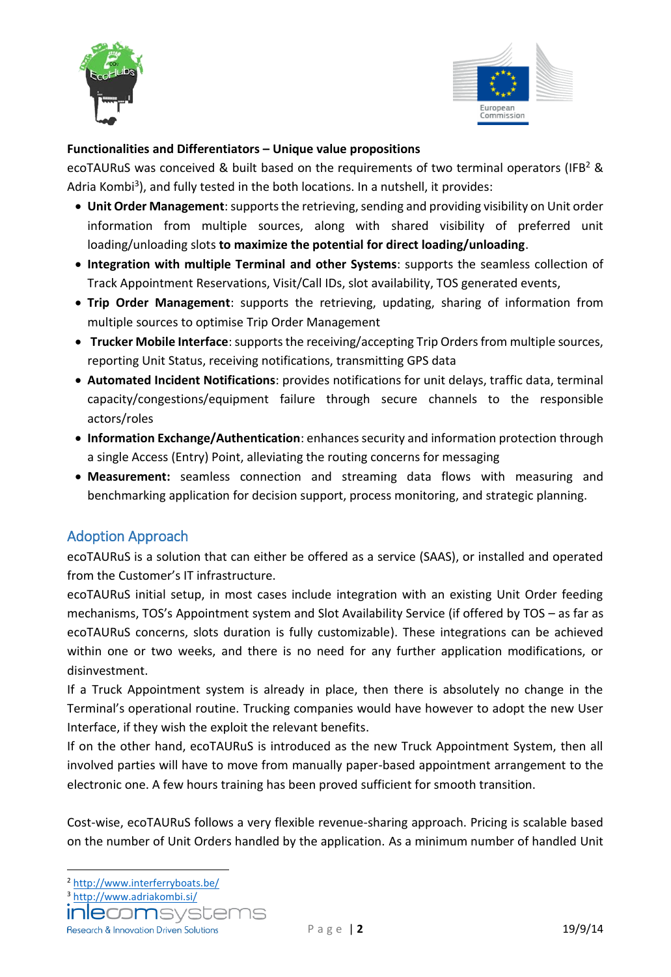



### **Functionalities and Differentiators – Unique value propositions**

ecoTAURuS was conceived & built based on the requirements of two terminal operators (IFB<sup>2</sup> & Adria Kombi<sup>3</sup>), and fully tested in the both locations. In a nutshell, it provides:

- **Unit Order Management**: supports the retrieving, sending and providing visibility on Unit order information from multiple sources, along with shared visibility of preferred unit loading/unloading slots **to maximize the potential for direct loading/unloading**.
- **Integration with multiple Terminal and other Systems**: supports the seamless collection of Track Appointment Reservations, Visit/Call IDs, slot availability, TOS generated events,
- **Trip Order Management**: supports the retrieving, updating, sharing of information from multiple sources to optimise Trip Order Management
- **Trucker Mobile Interface**: supports the receiving/accepting Trip Orders from multiple sources, reporting Unit Status, receiving notifications, transmitting GPS data
- **Automated Incident Notifications**: provides notifications for unit delays, traffic data, terminal capacity/congestions/equipment failure through secure channels to the responsible actors/roles
- **Information Exchange/Authentication**: enhances security and information protection through a single Access (Entry) Point, alleviating the routing concerns for messaging
- **Measurement:** seamless connection and streaming data flows with measuring and benchmarking application for decision support, process monitoring, and strategic planning.

# Adoption Approach

ecoTAURuS is a solution that can either be offered as a service (SAAS), or installed and operated from the Customer's IT infrastructure.

ecoTAURuS initial setup, in most cases include integration with an existing Unit Order feeding mechanisms, TOS's Appointment system and Slot Availability Service (if offered by TOS – as far as ecoTAURuS concerns, slots duration is fully customizable). These integrations can be achieved within one or two weeks, and there is no need for any further application modifications, or disinvestment.

If a Truck Appointment system is already in place, then there is absolutely no change in the Terminal's operational routine. Trucking companies would have however to adopt the new User Interface, if they wish the exploit the relevant benefits.

If on the other hand, ecoTAURuS is introduced as the new Truck Appointment System, then all involved parties will have to move from manually paper-based appointment arrangement to the electronic one. A few hours training has been proved sufficient for smooth transition.

Cost-wise, ecoTAURuS follows a very flexible revenue-sharing approach. Pricing is scalable based on the number of Unit Orders handled by the application. As a minimum number of handled Unit

**Research & Innovation Driven Solutions** 

**<sup>.</sup>** <sup>2</sup> <http://www.interferryboats.be/>

<sup>3</sup> <http://www.adriakombi.si/>

**INIECOM**SVSCEM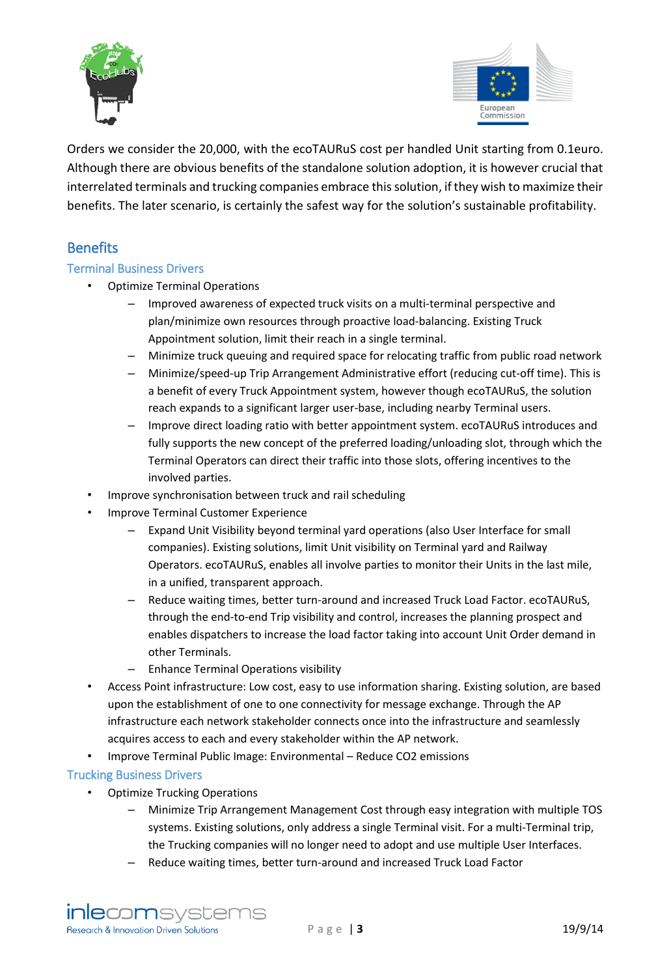



Orders we consider the 20,000, with the ecoTAURuS cost per handled Unit starting from 0.1euro. Although there are obvious benefits of the standalone solution adoption, it is however crucial that interrelated terminals and trucking companies embrace this solution, if they wish to maximize their benefits. The later scenario, is certainly the safest way for the solution's sustainable profitability.

# **Benefits**

#### Terminal Business Drivers

- Optimize Terminal Operations
	- Improved awareness of expected truck visits on a multi-terminal perspective and plan/minimize own resources through proactive load-balancing. Existing Truck Appointment solution, limit their reach in a single terminal.
	- Minimize truck queuing and required space for relocating traffic from public road network
	- Minimize/speed-up Trip Arrangement Administrative effort (reducing cut-off time). This is a benefit of every Truck Appointment system, however though ecoTAURuS, the solution reach expands to a significant larger user-base, including nearby Terminal users.
	- Improve direct loading ratio with better appointment system. ecoTAURuS introduces and fully supports the new concept of the preferred loading/unloading slot, through which the Terminal Operators can direct their traffic into those slots, offering incentives to the involved parties.
- Improve synchronisation between truck and rail scheduling
- Improve Terminal Customer Experience
	- Expand Unit Visibility beyond terminal yard operations (also User Interface for small companies). Existing solutions, limit Unit visibility on Terminal yard and Railway Operators. ecoTAURuS, enables all involve parties to monitor their Units in the last mile, in a unified, transparent approach.
	- Reduce waiting times, better turn-around and increased Truck Load Factor. ecoTAURuS, through the end-to-end Trip visibility and control, increases the planning prospect and enables dispatchers to increase the load factor taking into account Unit Order demand in other Terminals.
	- Enhance Terminal Operations visibility
- Access Point infrastructure: Low cost, easy to use information sharing. Existing solution, are based upon the establishment of one to one connectivity for message exchange. Through the AP infrastructure each network stakeholder connects once into the infrastructure and seamlessly acquires access to each and every stakeholder within the AP network.
- Improve Terminal Public Image: Environmental Reduce CO2 emissions

#### Trucking Business Drivers

- Optimize Trucking Operations
	- Minimize Trip Arrangement Management Cost through easy integration with multiple TOS systems. Existing solutions, only address a single Terminal visit. For a multi-Terminal trip, the Trucking companies will no longer need to adopt and use multiple User Interfaces.
	- Reduce waiting times, better turn-around and increased Truck Load Factor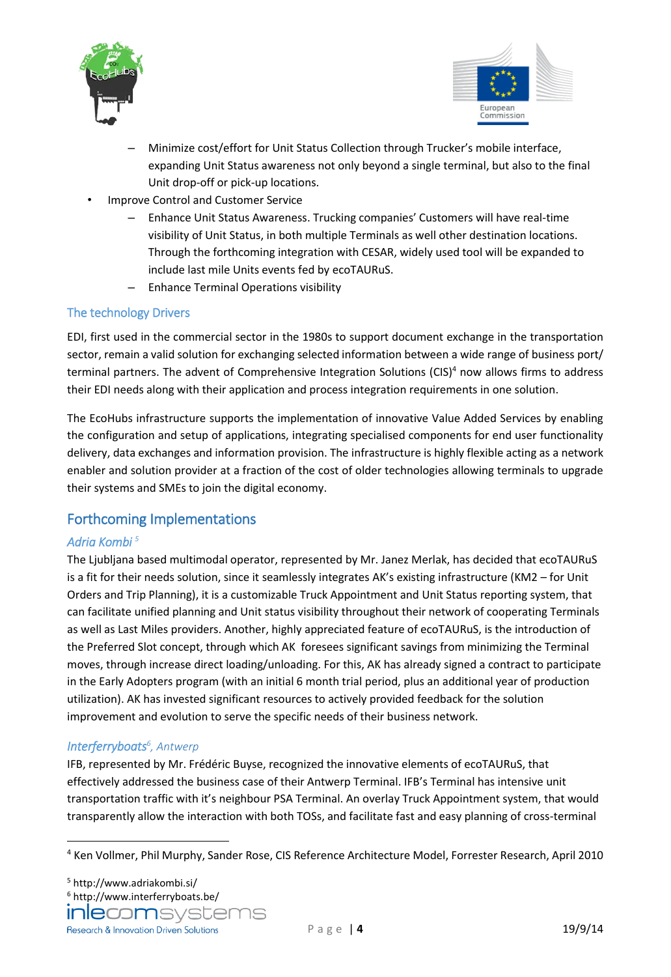



- Minimize cost/effort for Unit Status Collection through Trucker's mobile interface, expanding Unit Status awareness not only beyond a single terminal, but also to the final Unit drop-off or pick-up locations.
- Improve Control and Customer Service
	- Enhance Unit Status Awareness. Trucking companies' Customers will have real-time visibility of Unit Status, in both multiple Terminals as well other destination locations. Through the forthcoming integration with CESAR, widely used tool will be expanded to include last mile Units events fed by ecoTAURuS.
	- Enhance Terminal Operations visibility

## The technology Drivers

EDI, first used in the commercial sector in the 1980s to support document exchange in the transportation sector, remain a valid solution for exchanging selected information between a wide range of business port/ terminal partners. The advent of Comprehensive Integration Solutions ( $CIS$ <sup>4</sup> now allows firms to address their EDI needs along with their application and process integration requirements in one solution.

The EcoHubs infrastructure supports the implementation of innovative Value Added Services by enabling the configuration and setup of applications, integrating specialised components for end user functionality delivery, data exchanges and information provision. The infrastructure is highly flexible acting as a network enabler and solution provider at a fraction of the cost of older technologies allowing terminals to upgrade their systems and SMEs to join the digital economy.

# Forthcoming Implementations

## *Adria Kombi 5*

The Ljubljana based multimodal operator, represented by Mr. Janez Merlak, has decided that ecoTAURuS is a fit for their needs solution, since it seamlessly integrates AK's existing infrastructure (KM2 – for Unit Orders and Trip Planning), it is a customizable Truck Appointment and Unit Status reporting system, that can facilitate unified planning and Unit status visibility throughout their network of cooperating Terminals as well as Last Miles providers. Another, highly appreciated feature of ecoTAURuS, is the introduction of the Preferred Slot concept, through which AK foresees significant savings from minimizing the Terminal moves, through increase direct loading/unloading. For this, AK has already signed a contract to participate in the Early Adopters program (with an initial 6 month trial period, plus an additional year of production utilization). AK has invested significant resources to actively provided feedback for the solution improvement and evolution to serve the specific needs of their business network.

#### *Interferryboats<sup>6</sup> , Antwerp*

**.** 

IFB, represented by Mr. Frédéric Buyse, recognized the innovative elements of ecoTAURuS, that effectively addressed the business case of their Antwerp Terminal. IFB's Terminal has intensive unit transportation traffic with it's neighbour PSA Terminal. An overlay Truck Appointment system, that would transparently allow the interaction with both TOSs, and facilitate fast and easy planning of cross-terminal

<sup>4</sup> Ken Vollmer, Phil Murphy, Sander Rose, CIS Reference Architecture Model, Forrester Research, April 2010